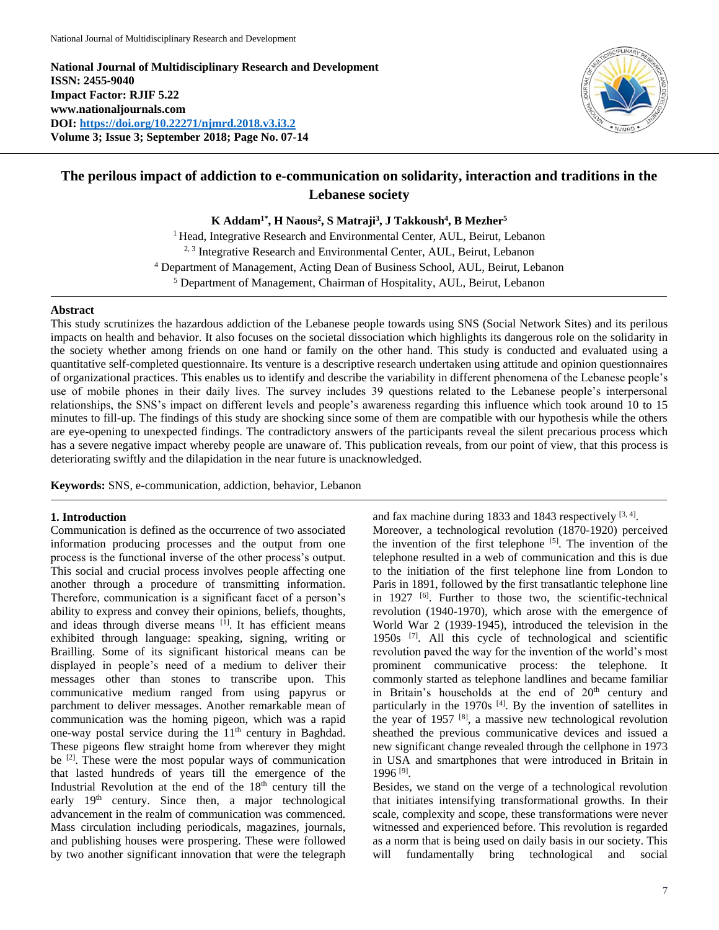**National Journal of Multidisciplinary Research and Development ISSN: 2455-9040 Impact Factor: RJIF 5.22 www.nationaljournals.com DOI:<https://doi.org/10.22271/njmrd.2018.v3.i3.2> Volume 3; Issue 3; September 2018; Page No. 07-14**



# **The perilous impact of addiction to e-communication on solidarity, interaction and traditions in the Lebanese society**

**K Addam1\*, H Naous<sup>2</sup> , S Matraji<sup>3</sup> , J Takkoush<sup>4</sup> , B Mezher<sup>5</sup>**

<sup>1</sup> Head, Integrative Research and Environmental Center, AUL, Beirut, Lebanon <sup>2, 3</sup> Integrative Research and Environmental Center, AUL, Beirut, Lebanon <sup>4</sup> Department of Management, Acting Dean of Business School, AUL, Beirut, Lebanon <sup>5</sup> Department of Management, Chairman of Hospitality, AUL, Beirut, Lebanon

## **Abstract**

This study scrutinizes the hazardous addiction of the Lebanese people towards using SNS (Social Network Sites) and its perilous impacts on health and behavior. It also focuses on the societal dissociation which highlights its dangerous role on the solidarity in the society whether among friends on one hand or family on the other hand. This study is conducted and evaluated using a quantitative self-completed questionnaire. Its venture is a descriptive research undertaken using attitude and opinion questionnaires of organizational practices. This enables us to identify and describe the variability in different phenomena of the Lebanese people's use of mobile phones in their daily lives. The survey includes 39 questions related to the Lebanese people's interpersonal relationships, the SNS's impact on different levels and people's awareness regarding this influence which took around 10 to 15 minutes to fill-up. The findings of this study are shocking since some of them are compatible with our hypothesis while the others are eye-opening to unexpected findings. The contradictory answers of the participants reveal the silent precarious process which has a severe negative impact whereby people are unaware of. This publication reveals, from our point of view, that this process is deteriorating swiftly and the dilapidation in the near future is unacknowledged.

**Keywords:** SNS, e-communication, addiction, behavior, Lebanon

### **1. Introduction**

Communication is defined as the occurrence of two associated information producing processes and the output from one process is the functional inverse of the other process's output. This social and crucial process involves people affecting one another through a procedure of transmitting information. Therefore, communication is a significant facet of a person's ability to express and convey their opinions, beliefs, thoughts, and ideas through diverse means [1]. It has efficient means exhibited through language: speaking, signing, writing or Brailling. Some of its significant historical means can be displayed in people's need of a medium to deliver their messages other than stones to transcribe upon. This communicative medium ranged from using papyrus or parchment to deliver messages. Another remarkable mean of communication was the homing pigeon, which was a rapid one-way postal service during the 11th century in Baghdad. These pigeons flew straight home from wherever they might be  $[2]$ . These were the most popular ways of communication that lasted hundreds of years till the emergence of the Industrial Revolution at the end of the  $18<sup>th</sup>$  century till the early 19th century. Since then, a major technological advancement in the realm of communication was commenced. Mass circulation including periodicals, magazines, journals, and publishing houses were prospering. These were followed by two another significant innovation that were the telegraph

and fax machine during 1833 and 1843 respectively  $[3, 4]$ . Moreover, a technological revolution (1870-1920) perceived the invention of the first telephone  $[5]$ . The invention of the telephone resulted in a web of communication and this is due to the initiation of the first telephone line from London to Paris in 1891, followed by the first transatlantic telephone line in 1927  $\left[6\right]$ . Further to those two, the scientific-technical revolution (1940-1970), which arose with the emergence of World War 2 (1939-1945), introduced the television in the 1950s [7]. All this cycle of technological and scientific revolution paved the way for the invention of the world's most prominent communicative process: the telephone. It commonly started as telephone landlines and became familiar in Britain's households at the end of 20<sup>th</sup> century and particularly in the 1970s [4]. By the invention of satellites in the year of 1957  $[8]$ , a massive new technological revolution sheathed the previous communicative devices and issued a new significant change revealed through the cellphone in 1973 in USA and smartphones that were introduced in Britain in 1996 [9] .

Besides, we stand on the verge of a technological revolution that initiates intensifying transformational growths. In their scale, complexity and scope, these transformations were never witnessed and experienced before. This revolution is regarded as a norm that is being used on daily basis in our society. This will fundamentally bring technological and social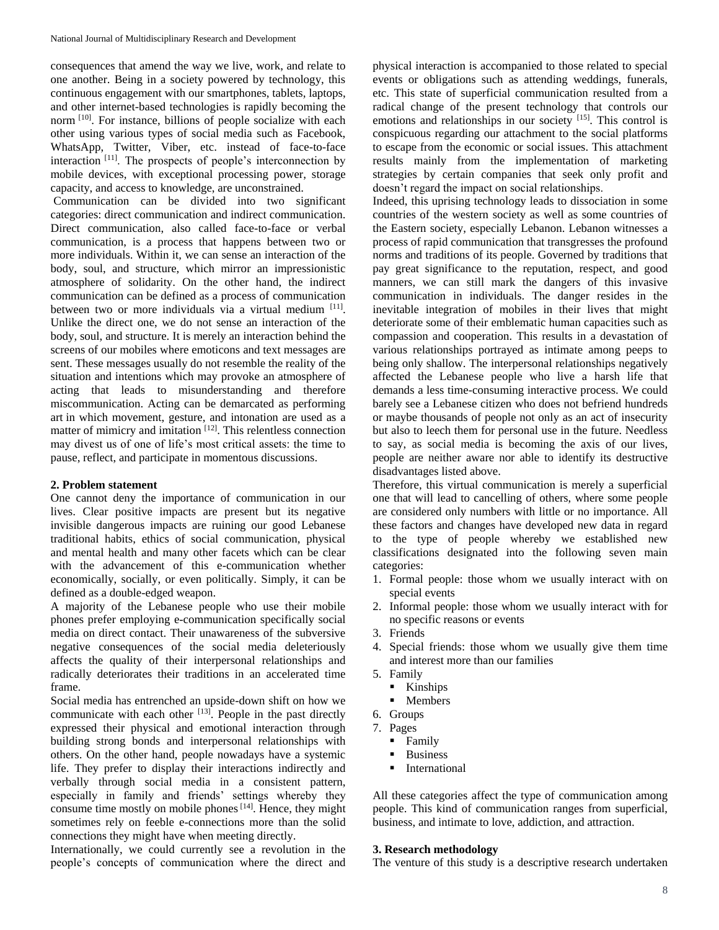consequences that amend the way we live, work, and relate to one another. Being in a society powered by technology, this continuous engagement with our smartphones, tablets, laptops, and other internet-based technologies is rapidly becoming the norm <sup>[10]</sup>. For instance, billions of people socialize with each other using various types of social media such as Facebook, WhatsApp, Twitter, Viber, etc. instead of face-to-face interaction [11]. The prospects of people's interconnection by mobile devices, with exceptional processing power, storage capacity, and access to knowledge, are unconstrained.

Communication can be divided into two significant categories: direct communication and indirect communication. Direct communication, also called face-to-face or verbal communication, is a process that happens between two or more individuals. Within it, we can sense an interaction of the body, soul, and structure, which mirror an impressionistic atmosphere of solidarity. On the other hand, the indirect communication can be defined as a process of communication between two or more individuals via a virtual medium [11]. Unlike the direct one, we do not sense an interaction of the body, soul, and structure. It is merely an interaction behind the screens of our mobiles where emoticons and text messages are sent. These messages usually do not resemble the reality of the situation and intentions which may provoke an atmosphere of acting that leads to misunderstanding and therefore miscommunication. Acting can be demarcated as performing art in which movement, gesture, and intonation are used as a matter of mimicry and imitation <sup>[12]</sup>. This relentless connection may divest us of one of life's most critical assets: the time to pause, reflect, and participate in momentous discussions.

### **2. Problem statement**

One cannot deny the importance of communication in our lives. Clear positive impacts are present but its negative invisible dangerous impacts are ruining our good Lebanese traditional habits, ethics of social communication, physical and mental health and many other facets which can be clear with the advancement of this e-communication whether economically, socially, or even politically. Simply, it can be defined as a double-edged weapon.

A majority of the Lebanese people who use their mobile phones prefer employing e-communication specifically social media on direct contact. Their unawareness of the subversive negative consequences of the social media deleteriously affects the quality of their interpersonal relationships and radically deteriorates their traditions in an accelerated time frame.

Social media has entrenched an upside-down shift on how we communicate with each other <sup>[13]</sup>. People in the past directly expressed their physical and emotional interaction through building strong bonds and interpersonal relationships with others. On the other hand, people nowadays have a systemic life. They prefer to display their interactions indirectly and verbally through social media in a consistent pattern, especially in family and friends' settings whereby they consume time mostly on mobile phones<sup> $[14]$ </sup>. Hence, they might sometimes rely on feeble e-connections more than the solid connections they might have when meeting directly.

Internationally, we could currently see a revolution in the people's concepts of communication where the direct and

physical interaction is accompanied to those related to special events or obligations such as attending weddings, funerals, etc. This state of superficial communication resulted from a radical change of the present technology that controls our emotions and relationships in our society [15]. This control is conspicuous regarding our attachment to the social platforms to escape from the economic or social issues. This attachment results mainly from the implementation of marketing strategies by certain companies that seek only profit and doesn't regard the impact on social relationships.

Indeed, this uprising technology leads to dissociation in some countries of the western society as well as some countries of the Eastern society, especially Lebanon. Lebanon witnesses a process of rapid communication that transgresses the profound norms and traditions of its people. Governed by traditions that pay great significance to the reputation, respect, and good manners, we can still mark the dangers of this invasive communication in individuals. The danger resides in the inevitable integration of mobiles in their lives that might deteriorate some of their emblematic human capacities such as compassion and cooperation. This results in a devastation of various relationships portrayed as intimate among peeps to being only shallow. The interpersonal relationships negatively affected the Lebanese people who live a harsh life that demands a less time-consuming interactive process. We could barely see a Lebanese citizen who does not befriend hundreds or maybe thousands of people not only as an act of insecurity but also to leech them for personal use in the future. Needless to say, as social media is becoming the axis of our lives, people are neither aware nor able to identify its destructive disadvantages listed above.

Therefore, this virtual communication is merely a superficial one that will lead to cancelling of others, where some people are considered only numbers with little or no importance. All these factors and changes have developed new data in regard to the type of people whereby we established new classifications designated into the following seven main categories:

- 1. Formal people: those whom we usually interact with on special events
- 2. Informal people: those whom we usually interact with for no specific reasons or events
- 3. Friends
- 4. Special friends: those whom we usually give them time and interest more than our families
- 5. Family
	- Kinships
	- Members
- 6. Groups
- 7. Pages
	- Family
	- **Business**
	- **International**

All these categories affect the type of communication among people. This kind of communication ranges from superficial, business, and intimate to love, addiction, and attraction.

#### **3. Research methodology**

The venture of this study is a descriptive research undertaken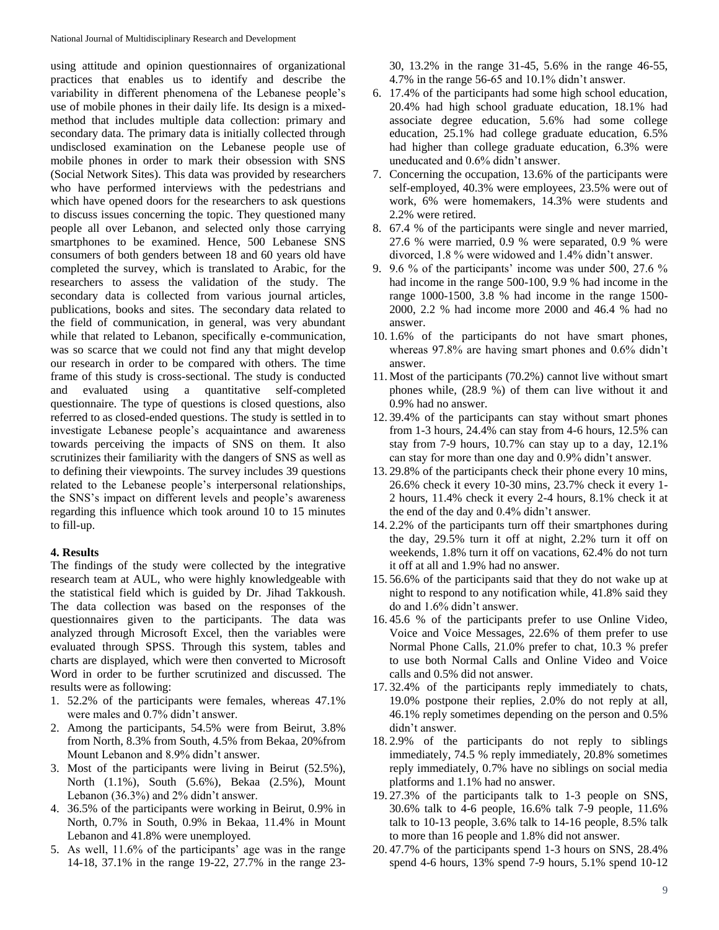using attitude and opinion questionnaires of organizational practices that enables us to identify and describe the variability in different phenomena of the Lebanese people's use of mobile phones in their daily life. Its design is a mixedmethod that includes multiple data collection: primary and secondary data. The primary data is initially collected through undisclosed examination on the Lebanese people use of mobile phones in order to mark their obsession with SNS (Social Network Sites). This data was provided by researchers who have performed interviews with the pedestrians and which have opened doors for the researchers to ask questions to discuss issues concerning the topic. They questioned many people all over Lebanon, and selected only those carrying smartphones to be examined. Hence, 500 Lebanese SNS consumers of both genders between 18 and 60 years old have completed the survey, which is translated to Arabic, for the researchers to assess the validation of the study. The secondary data is collected from various journal articles, publications, books and sites. The secondary data related to the field of communication, in general, was very abundant while that related to Lebanon, specifically e-communication, was so scarce that we could not find any that might develop our research in order to be compared with others. The time frame of this study is cross-sectional. The study is conducted and evaluated using a quantitative self-completed questionnaire. The type of questions is closed questions, also referred to as closed-ended questions. The study is settled in to investigate Lebanese people's acquaintance and awareness towards perceiving the impacts of SNS on them. It also scrutinizes their familiarity with the dangers of SNS as well as to defining their viewpoints. The survey includes 39 questions related to the Lebanese people's interpersonal relationships, the SNS's impact on different levels and people's awareness regarding this influence which took around 10 to 15 minutes to fill-up.

# **4. Results**

The findings of the study were collected by the integrative research team at AUL, who were highly knowledgeable with the statistical field which is guided by Dr. Jihad Takkoush. The data collection was based on the responses of the questionnaires given to the participants. The data was analyzed through Microsoft Excel, then the variables were evaluated through SPSS. Through this system, tables and charts are displayed, which were then converted to Microsoft Word in order to be further scrutinized and discussed. The results were as following:

- 1. 52.2% of the participants were females, whereas 47.1% were males and 0.7% didn't answer.
- 2. Among the participants, 54.5% were from Beirut, 3.8% from North, 8.3% from South, 4.5% from Bekaa, 20%from Mount Lebanon and 8.9% didn't answer.
- 3. Most of the participants were living in Beirut (52.5%), North (1.1%), South (5.6%), Bekaa (2.5%), Mount Lebanon (36.3%) and 2% didn't answer.
- 4. 36.5% of the participants were working in Beirut, 0.9% in North, 0.7% in South, 0.9% in Bekaa, 11.4% in Mount Lebanon and 41.8% were unemployed.
- 5. As well, 11.6% of the participants' age was in the range 14-18, 37.1% in the range 19-22, 27.7% in the range 23-

30, 13.2% in the range 31-45, 5.6% in the range 46-55, 4.7% in the range 56-65 and 10.1% didn't answer.

- 6. 17.4% of the participants had some high school education, 20.4% had high school graduate education, 18.1% had associate degree education, 5.6% had some college education, 25.1% had college graduate education, 6.5% had higher than college graduate education, 6.3% were uneducated and 0.6% didn't answer.
- 7. Concerning the occupation, 13.6% of the participants were self-employed, 40.3% were employees, 23.5% were out of work, 6% were homemakers, 14.3% were students and 2.2% were retired.
- 8. 67.4 % of the participants were single and never married, 27.6 % were married, 0.9 % were separated, 0.9 % were divorced, 1.8 % were widowed and 1.4% didn't answer.
- 9. 9.6 % of the participants' income was under 500, 27.6 % had income in the range 500-100, 9.9 % had income in the range 1000-1500, 3.8 % had income in the range 1500- 2000, 2.2 % had income more 2000 and 46.4 % had no answer.
- 10. 1.6% of the participants do not have smart phones, whereas 97.8% are having smart phones and 0.6% didn't answer.
- 11. Most of the participants (70.2%) cannot live without smart phones while, (28.9 %) of them can live without it and 0.9% had no answer.
- 12. 39.4% of the participants can stay without smart phones from 1-3 hours, 24.4% can stay from 4-6 hours, 12.5% can stay from 7-9 hours, 10.7% can stay up to a day, 12.1% can stay for more than one day and 0.9% didn't answer.
- 13. 29.8% of the participants check their phone every 10 mins, 26.6% check it every 10-30 mins, 23.7% check it every 1- 2 hours, 11.4% check it every 2-4 hours, 8.1% check it at the end of the day and 0.4% didn't answer.
- 14. 2.2% of the participants turn off their smartphones during the day, 29.5% turn it off at night, 2.2% turn it off on weekends, 1.8% turn it off on vacations, 62.4% do not turn it off at all and 1.9% had no answer.
- 15. 56.6% of the participants said that they do not wake up at night to respond to any notification while, 41.8% said they do and 1.6% didn't answer.
- 16. 45.6 % of the participants prefer to use Online Video, Voice and Voice Messages, 22.6% of them prefer to use Normal Phone Calls, 21.0% prefer to chat, 10.3 % prefer to use both Normal Calls and Online Video and Voice calls and 0.5% did not answer.
- 17. 32.4% of the participants reply immediately to chats, 19.0% postpone their replies, 2.0% do not reply at all, 46.1% reply sometimes depending on the person and 0.5% didn't answer.
- 18. 2.9% of the participants do not reply to siblings immediately, 74.5 % reply immediately, 20.8% sometimes reply immediately, 0.7% have no siblings on social media platforms and 1.1% had no answer.
- 19. 27.3% of the participants talk to 1-3 people on SNS, 30.6% talk to 4-6 people, 16.6% talk 7-9 people, 11.6% talk to 10-13 people, 3.6% talk to 14-16 people, 8.5% talk to more than 16 people and 1.8% did not answer.
- 20. 47.7% of the participants spend 1-3 hours on SNS, 28.4% spend 4-6 hours, 13% spend 7-9 hours, 5.1% spend 10-12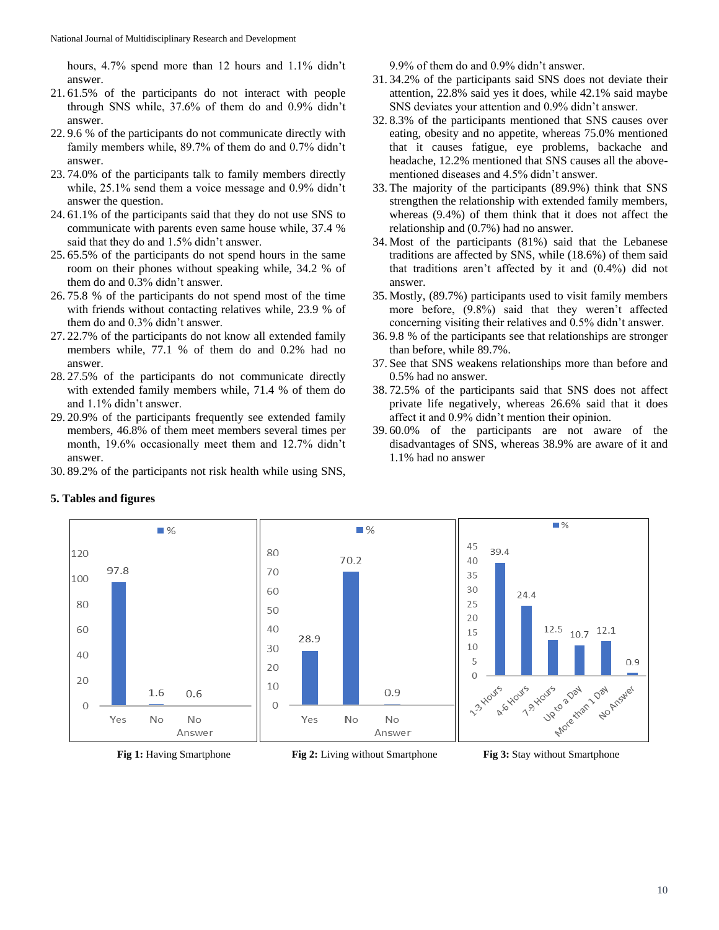hours, 4.7% spend more than 12 hours and 1.1% didn't answer.

- 21. 61.5% of the participants do not interact with people through SNS while, 37.6% of them do and 0.9% didn't answer.
- 22. 9.6 % of the participants do not communicate directly with family members while, 89.7% of them do and 0.7% didn't answer.
- 23. 74.0% of the participants talk to family members directly while, 25.1% send them a voice message and 0.9% didn't answer the question.
- 24. 61.1% of the participants said that they do not use SNS to communicate with parents even same house while, 37.4 % said that they do and 1.5% didn't answer.
- 25. 65.5% of the participants do not spend hours in the same room on their phones without speaking while, 34.2 % of them do and 0.3% didn't answer.
- 26. 75.8 % of the participants do not spend most of the time with friends without contacting relatives while, 23.9 % of them do and 0.3% didn't answer.
- 27. 22.7% of the participants do not know all extended family members while, 77.1 % of them do and 0.2% had no answer.
- 28. 27.5% of the participants do not communicate directly with extended family members while, 71.4 % of them do and 1.1% didn't answer.
- 29. 20.9% of the participants frequently see extended family members, 46.8% of them meet members several times per month, 19.6% occasionally meet them and 12.7% didn't answer.
- 30. 89.2% of the participants not risk health while using SNS,

9.9% of them do and 0.9% didn't answer.

- 31. 34.2% of the participants said SNS does not deviate their attention, 22.8% said yes it does, while 42.1% said maybe SNS deviates your attention and 0.9% didn't answer.
- 32. 8.3% of the participants mentioned that SNS causes over eating, obesity and no appetite, whereas 75.0% mentioned that it causes fatigue, eye problems, backache and headache, 12.2% mentioned that SNS causes all the abovementioned diseases and 4.5% didn't answer.
- 33. The majority of the participants (89.9%) think that SNS strengthen the relationship with extended family members, whereas (9.4%) of them think that it does not affect the relationship and (0.7%) had no answer.
- 34. Most of the participants (81%) said that the Lebanese traditions are affected by SNS, while (18.6%) of them said that traditions aren't affected by it and (0.4%) did not answer.
- 35. Mostly, (89.7%) participants used to visit family members more before, (9.8%) said that they weren't affected concerning visiting their relatives and 0.5% didn't answer.
- 36. 9.8 % of the participants see that relationships are stronger than before, while 89.7%.
- 37. See that SNS weakens relationships more than before and 0.5% had no answer.
- 38. 72.5% of the participants said that SNS does not affect private life negatively, whereas 26.6% said that it does affect it and 0.9% didn't mention their opinion.
- 39. 60.0% of the participants are not aware of the disadvantages of SNS, whereas 38.9% are aware of it and 1.1% had no answer



## **5. Tables and figures**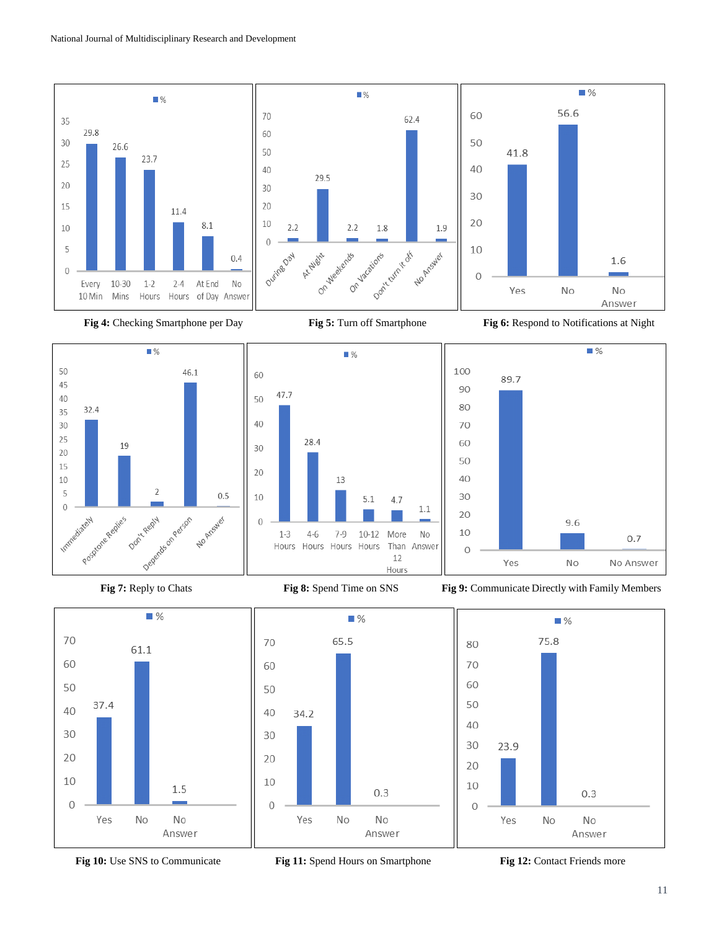



 $\blacksquare$  %









65.5

70

60

50

40

30

20

10

 $\mathbf 0$ 

34.2

Yes

 $\Box$  %





**Fig 10:** Use SNS to Communicate **Fig 11:** Spend Hours on Smartphone **Fig 12:** Contact Friends more

No

 $0.3$ 

No

Answer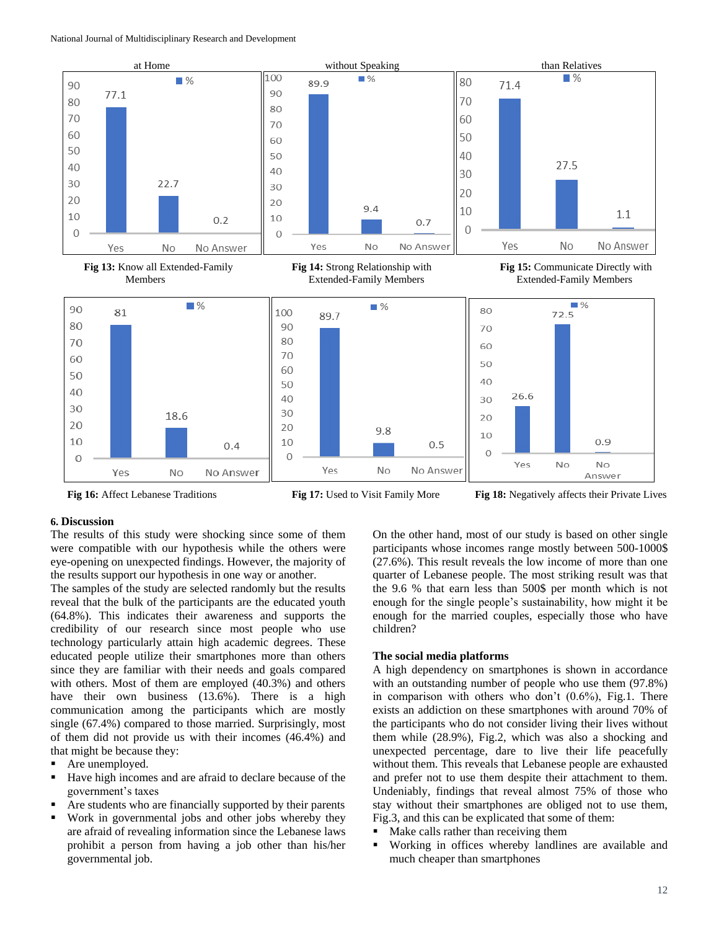

**Fig 16:** Affect Lebanese Traditions **Fig 17:** Used to Visit Family More **Fig 18:** Negatively affects their Private Lives

### **6. Discussion**

The results of this study were shocking since some of them were compatible with our hypothesis while the others were eye-opening on unexpected findings. However, the majority of the results support our hypothesis in one way or another.

The samples of the study are selected randomly but the results reveal that the bulk of the participants are the educated youth (64.8%). This indicates their awareness and supports the credibility of our research since most people who use technology particularly attain high academic degrees. These educated people utilize their smartphones more than others since they are familiar with their needs and goals compared with others. Most of them are employed (40.3%) and others have their own business (13.6%). There is a high communication among the participants which are mostly single (67.4%) compared to those married. Surprisingly, most of them did not provide us with their incomes (46.4%) and that might be because they:

- Are unemployed.
- Have high incomes and are afraid to declare because of the government's taxes
- Are students who are financially supported by their parents
- Work in governmental jobs and other jobs whereby they are afraid of revealing information since the Lebanese laws prohibit a person from having a job other than his/her governmental job.

On the other hand, most of our study is based on other single participants whose incomes range mostly between 500-1000\$ (27.6%). This result reveals the low income of more than one quarter of Lebanese people. The most striking result was that the 9.6 % that earn less than 500\$ per month which is not enough for the single people's sustainability, how might it be enough for the married couples, especially those who have children?

### **The social media platforms**

A high dependency on smartphones is shown in accordance with an outstanding number of people who use them (97.8%) in comparison with others who don't  $(0.6\%)$ , Fig.1. There exists an addiction on these smartphones with around 70% of the participants who do not consider living their lives without them while (28.9%), Fig.2, which was also a shocking and unexpected percentage, dare to live their life peacefully without them. This reveals that Lebanese people are exhausted and prefer not to use them despite their attachment to them. Undeniably, findings that reveal almost 75% of those who stay without their smartphones are obliged not to use them, Fig.3, and this can be explicated that some of them:

- Make calls rather than receiving them
- Working in offices whereby landlines are available and much cheaper than smartphones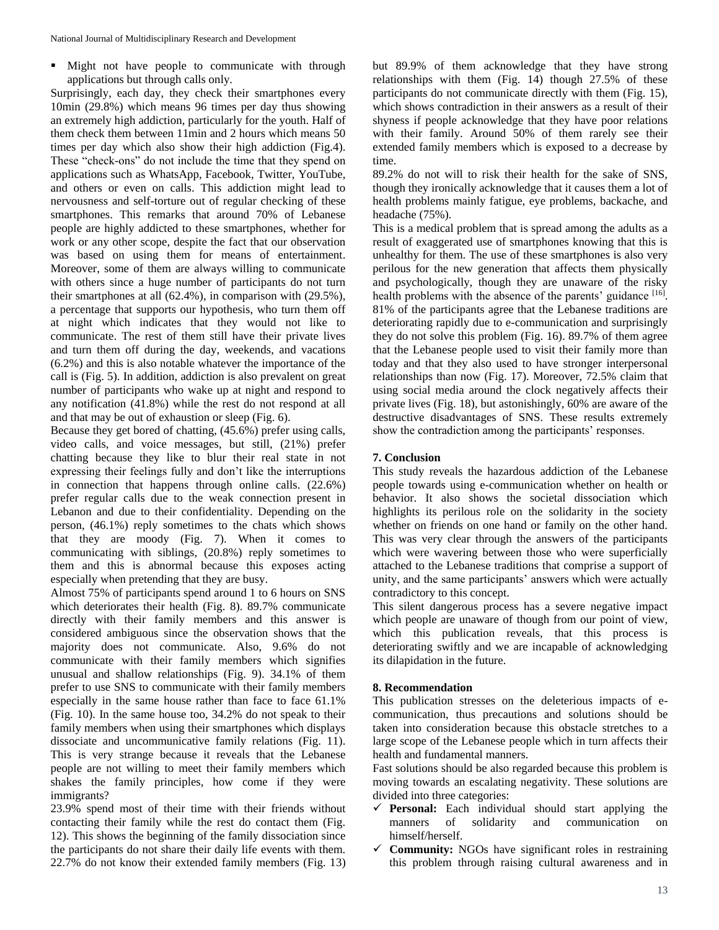**Might not have people to communicate with through** applications but through calls only.

Surprisingly, each day, they check their smartphones every 10min (29.8%) which means 96 times per day thus showing an extremely high addiction, particularly for the youth. Half of them check them between 11min and 2 hours which means 50 times per day which also show their high addiction (Fig.4). These "check-ons" do not include the time that they spend on applications such as WhatsApp, Facebook, Twitter, YouTube, and others or even on calls. This addiction might lead to nervousness and self-torture out of regular checking of these smartphones. This remarks that around 70% of Lebanese people are highly addicted to these smartphones, whether for work or any other scope, despite the fact that our observation was based on using them for means of entertainment. Moreover, some of them are always willing to communicate with others since a huge number of participants do not turn their smartphones at all (62.4%), in comparison with (29.5%), a percentage that supports our hypothesis, who turn them off at night which indicates that they would not like to communicate. The rest of them still have their private lives and turn them off during the day, weekends, and vacations (6.2%) and this is also notable whatever the importance of the call is (Fig. 5). In addition, addiction is also prevalent on great number of participants who wake up at night and respond to any notification (41.8%) while the rest do not respond at all and that may be out of exhaustion or sleep (Fig. 6).

Because they get bored of chatting, (45.6%) prefer using calls, video calls, and voice messages, but still, (21%) prefer chatting because they like to blur their real state in not expressing their feelings fully and don't like the interruptions in connection that happens through online calls. (22.6%) prefer regular calls due to the weak connection present in Lebanon and due to their confidentiality. Depending on the person, (46.1%) reply sometimes to the chats which shows that they are moody (Fig. 7). When it comes to communicating with siblings, (20.8%) reply sometimes to them and this is abnormal because this exposes acting especially when pretending that they are busy.

Almost 75% of participants spend around 1 to 6 hours on SNS which deteriorates their health (Fig. 8). 89.7% communicate directly with their family members and this answer is considered ambiguous since the observation shows that the majority does not communicate. Also, 9.6% do not communicate with their family members which signifies unusual and shallow relationships (Fig. 9). 34.1% of them prefer to use SNS to communicate with their family members especially in the same house rather than face to face 61.1% (Fig. 10). In the same house too, 34.2% do not speak to their family members when using their smartphones which displays dissociate and uncommunicative family relations (Fig. 11). This is very strange because it reveals that the Lebanese people are not willing to meet their family members which shakes the family principles, how come if they were immigrants?

23.9% spend most of their time with their friends without contacting their family while the rest do contact them (Fig. 12). This shows the beginning of the family dissociation since the participants do not share their daily life events with them. 22.7% do not know their extended family members (Fig. 13)

but 89.9% of them acknowledge that they have strong relationships with them (Fig. 14) though 27.5% of these participants do not communicate directly with them (Fig. 15), which shows contradiction in their answers as a result of their shyness if people acknowledge that they have poor relations with their family. Around 50% of them rarely see their extended family members which is exposed to a decrease by time.

89.2% do not will to risk their health for the sake of SNS, though they ironically acknowledge that it causes them a lot of health problems mainly fatigue, eye problems, backache, and headache (75%).

This is a medical problem that is spread among the adults as a result of exaggerated use of smartphones knowing that this is unhealthy for them. The use of these smartphones is also very perilous for the new generation that affects them physically and psychologically, though they are unaware of the risky health problems with the absence of the parents' guidance [16]. 81% of the participants agree that the Lebanese traditions are deteriorating rapidly due to e-communication and surprisingly they do not solve this problem (Fig. 16). 89.7% of them agree that the Lebanese people used to visit their family more than today and that they also used to have stronger interpersonal relationships than now (Fig. 17). Moreover, 72.5% claim that using social media around the clock negatively affects their private lives (Fig. 18), but astonishingly, 60% are aware of the destructive disadvantages of SNS. These results extremely show the contradiction among the participants' responses.

#### **7. Conclusion**

This study reveals the hazardous addiction of the Lebanese people towards using e-communication whether on health or behavior. It also shows the societal dissociation which highlights its perilous role on the solidarity in the society whether on friends on one hand or family on the other hand. This was very clear through the answers of the participants which were wavering between those who were superficially attached to the Lebanese traditions that comprise a support of unity, and the same participants' answers which were actually contradictory to this concept.

This silent dangerous process has a severe negative impact which people are unaware of though from our point of view, which this publication reveals, that this process is deteriorating swiftly and we are incapable of acknowledging its dilapidation in the future.

#### **8. Recommendation**

This publication stresses on the deleterious impacts of ecommunication, thus precautions and solutions should be taken into consideration because this obstacle stretches to a large scope of the Lebanese people which in turn affects their health and fundamental manners.

Fast solutions should be also regarded because this problem is moving towards an escalating negativity. These solutions are divided into three categories:

- $\checkmark$  **Personal:** Each individual should start applying the manners of solidarity and communication on himself/herself.
- $\checkmark$  Community: NGOs have significant roles in restraining this problem through raising cultural awareness and in